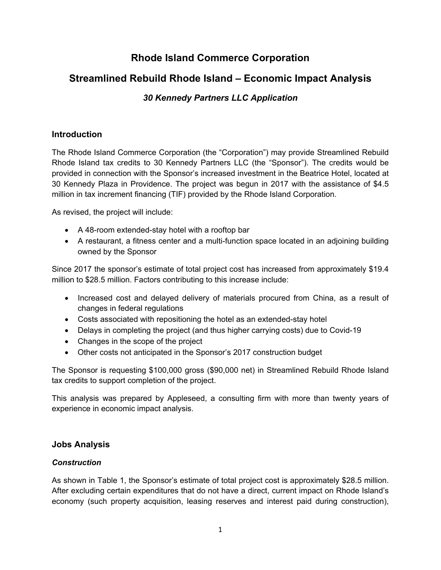# **Rhode Island Commerce Corporation**

# **Streamlined Rebuild Rhode Island – Economic Impact Analysis**

## *30 Kennedy Partners LLC Application*

## **Introduction**

The Rhode Island Commerce Corporation (the "Corporation") may provide Streamlined Rebuild Rhode Island tax credits to 30 Kennedy Partners LLC (the "Sponsor"). The credits would be provided in connection with the Sponsor's increased investment in the Beatrice Hotel, located at 30 Kennedy Plaza in Providence. The project was begun in 2017 with the assistance of \$4.5 million in tax increment financing (TIF) provided by the Rhode Island Corporation.

As revised, the project will include:

- A 48-room extended-stay hotel with a rooftop bar
- A restaurant, a fitness center and a multi-function space located in an adjoining building owned by the Sponsor

Since 2017 the sponsor's estimate of total project cost has increased from approximately \$19.4 million to \$28.5 million. Factors contributing to this increase include:

- Increased cost and delayed delivery of materials procured from China, as a result of changes in federal regulations
- Costs associated with repositioning the hotel as an extended-stay hotel
- Delays in completing the project (and thus higher carrying costs) due to Covid-19
- Changes in the scope of the project
- Other costs not anticipated in the Sponsor's 2017 construction budget

The Sponsor is requesting \$100,000 gross (\$90,000 net) in Streamlined Rebuild Rhode Island tax credits to support completion of the project.

This analysis was prepared by Appleseed, a consulting firm with more than twenty years of experience in economic impact analysis.

### **Jobs Analysis**

### *Construction*

As shown in Table 1, the Sponsor's estimate of total project cost is approximately \$28.5 million. After excluding certain expenditures that do not have a direct, current impact on Rhode Island's economy (such property acquisition, leasing reserves and interest paid during construction),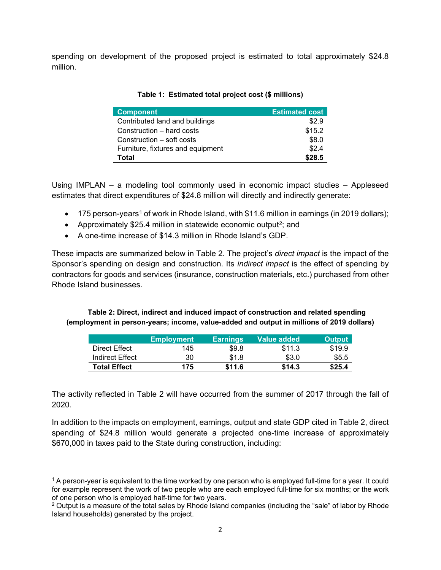spending on development of the proposed project is estimated to total approximately \$24.8 million.

| <b>Component</b>                  | <b>Estimated cost</b> |
|-----------------------------------|-----------------------|
| Contributed land and buildings    | \$2.9                 |
| Construction – hard costs         | \$15.2                |
| Construction – soft costs         | \$8.0                 |
| Furniture, fixtures and equipment | \$2.4                 |
| Total                             | \$28.5                |

#### **Table 1: Estimated total project cost (\$ millions)**

Using IMPLAN – a modeling tool commonly used in economic impact studies – Appleseed estimates that direct expenditures of \$24.8 million will directly and indirectly generate:

- [1](#page-1-0)75 person-years<sup>1</sup> of work in Rhode Island, with \$11.6 million in earnings (in 2019 dollars);
- Approximately \$[2](#page-1-1)5.4 million in statewide economic output<sup>2</sup>; and
- A one-time increase of \$14.3 million in Rhode Island's GDP.

These impacts are summarized below in Table 2. The project's *direct impact* is the impact of the Sponsor's spending on design and construction. Its *indirect impact* is the effect of spending by contractors for goods and services (insurance, construction materials, etc.) purchased from other Rhode Island businesses.

#### **Table 2: Direct, indirect and induced impact of construction and related spending (employment in person-years; income, value-added and output in millions of 2019 dollars)**

|                     | <b>Employment</b> | <b>Earnings</b> | Value added | <b>Output</b> |
|---------------------|-------------------|-----------------|-------------|---------------|
| Direct Effect       | 145               | \$9.8           | \$11.3      | \$19.9        |
| Indirect Effect     | 30                | \$1.8           | \$3.0       | \$5.5         |
| <b>Total Effect</b> | 175               | \$11.6          | \$14.3      | \$25.4        |

The activity reflected in Table 2 will have occurred from the summer of 2017 through the fall of 2020.

In addition to the impacts on employment, earnings, output and state GDP cited in Table 2, direct spending of \$24.8 million would generate a projected one-time increase of approximately \$670,000 in taxes paid to the State during construction, including:

<span id="page-1-0"></span> $1$  A person-year is equivalent to the time worked by one person who is employed full-time for a year. It could for example represent the work of two people who are each employed full-time for six months; or the work of one person who is employed half-time for two years.

<span id="page-1-1"></span> $2$  Output is a measure of the total sales by Rhode Island companies (including the "sale" of labor by Rhode Island households) generated by the project.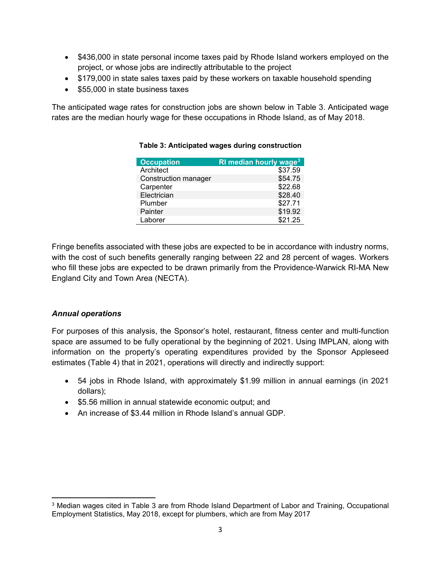- \$436,000 in state personal income taxes paid by Rhode Island workers employed on the project, or whose jobs are indirectly attributable to the project
- \$179,000 in state sales taxes paid by these workers on taxable household spending
- \$55,000 in state business taxes

The anticipated wage rates for construction jobs are shown below in Table 3. Anticipated wage rates are the median hourly wage for these occupations in Rhode Island, as of May 2018.

| <b>Occupation</b>    | RI median hourly wage <sup>3</sup> |
|----------------------|------------------------------------|
| Architect            | \$37.59                            |
| Construction manager | \$54.75                            |
| Carpenter            | \$22.68                            |
| Electrician          | \$28.40                            |
| Plumber              | \$27.71                            |
| Painter              | \$19.92                            |
| Laborer              | \$21.25                            |

#### **Table 3: Anticipated wages during construction**

Fringe benefits associated with these jobs are expected to be in accordance with industry norms, with the cost of such benefits generally ranging between 22 and 28 percent of wages. Workers who fill these jobs are expected to be drawn primarily from the Providence-Warwick RI-MA New England City and Town Area (NECTA).

#### *Annual operations*

For purposes of this analysis, the Sponsor's hotel, restaurant, fitness center and multi-function space are assumed to be fully operational by the beginning of 2021. Using IMPLAN, along with information on the property's operating expenditures provided by the Sponsor Appleseed estimates (Table 4) that in 2021, operations will directly and indirectly support:

- 54 jobs in Rhode Island, with approximately \$1.99 million in annual earnings (in 2021 dollars);
- \$5.56 million in annual statewide economic output; and
- An increase of \$3.44 million in Rhode Island's annual GDP.

<span id="page-2-0"></span><sup>&</sup>lt;sup>3</sup> Median wages cited in Table 3 are from Rhode Island Department of Labor and Training, Occupational Employment Statistics, May 2018, except for plumbers, which are from May 2017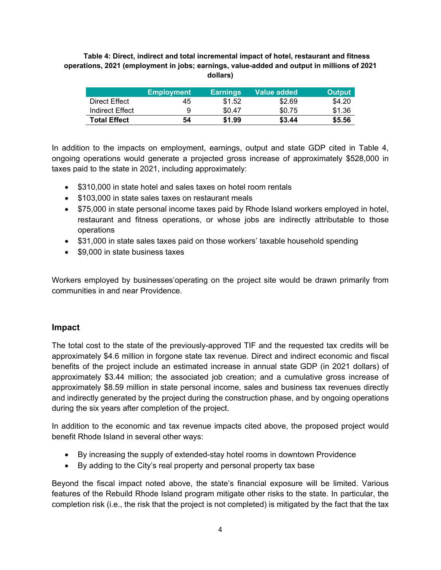**Table 4: Direct, indirect and total incremental impact of hotel, restaurant and fitness operations, 2021 (employment in jobs; earnings, value-added and output in millions of 2021 dollars)**

|                     | <b>Employment</b> | <b>Earnings</b> | Value added | <b>Output</b> |
|---------------------|-------------------|-----------------|-------------|---------------|
| Direct Effect       | 45                | \$1.52          | \$2.69      | \$4.20        |
| Indirect Effect     | 9                 | \$0.47          | \$0.75      | \$1.36        |
| <b>Total Effect</b> | 54                | \$1.99          | \$3.44      | \$5.56        |

In addition to the impacts on employment, earnings, output and state GDP cited in Table 4, ongoing operations would generate a projected gross increase of approximately \$528,000 in taxes paid to the state in 2021, including approximately:

- \$310,000 in state hotel and sales taxes on hotel room rentals
- \$103,000 in state sales taxes on restaurant meals
- \$75,000 in state personal income taxes paid by Rhode Island workers employed in hotel, restaurant and fitness operations, or whose jobs are indirectly attributable to those operations
- \$31,000 in state sales taxes paid on those workers' taxable household spending
- \$9,000 in state business taxes

Workers employed by businesses'operating on the project site would be drawn primarily from communities in and near Providence.

#### **Impact**

The total cost to the state of the previously-approved TIF and the requested tax credits will be approximately \$4.6 million in forgone state tax revenue. Direct and indirect economic and fiscal benefits of the project include an estimated increase in annual state GDP (in 2021 dollars) of approximately \$3.44 million; the associated job creation; and a cumulative gross increase of approximately \$8.59 million in state personal income, sales and business tax revenues directly and indirectly generated by the project during the construction phase, and by ongoing operations during the six years after completion of the project.

In addition to the economic and tax revenue impacts cited above, the proposed project would benefit Rhode Island in several other ways:

- By increasing the supply of extended-stay hotel rooms in downtown Providence
- By adding to the City's real property and personal property tax base

Beyond the fiscal impact noted above, the state's financial exposure will be limited. Various features of the Rebuild Rhode Island program mitigate other risks to the state. In particular, the completion risk (i.e., the risk that the project is not completed) is mitigated by the fact that the tax